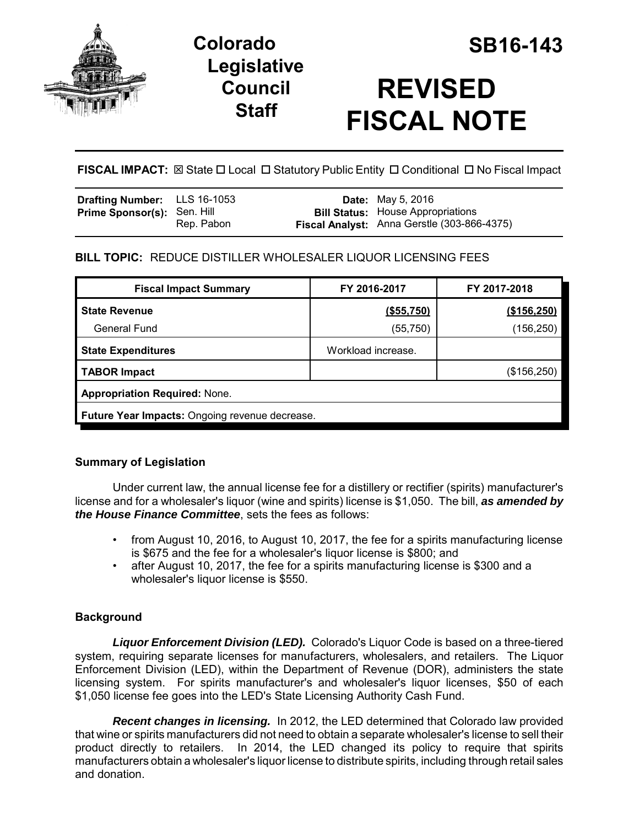

# **Colorado SB16-143 Legislative Council Staff**



**FISCAL IMPACT:**  $\boxtimes$  State  $\Box$  Local  $\Box$  Statutory Public Entity  $\Box$  Conditional  $\Box$  No Fiscal Impact

| <b>Drafting Number:</b> LLS 16-1053 |            | <b>Date:</b> May 5, 2016                                                                |
|-------------------------------------|------------|-----------------------------------------------------------------------------------------|
| <b>Prime Sponsor(s): Sen. Hill</b>  | Rep. Pabon | <b>Bill Status:</b> House Appropriations<br>Fiscal Analyst: Anna Gerstle (303-866-4375) |

# **BILL TOPIC:** REDUCE DISTILLER WHOLESALER LIQUOR LICENSING FEES

| <b>Fiscal Impact Summary</b>                   | FY 2016-2017       | FY 2017-2018 |  |  |  |  |  |
|------------------------------------------------|--------------------|--------------|--|--|--|--|--|
| <b>State Revenue</b>                           | (\$55,750)         | (\$156,250)  |  |  |  |  |  |
| <b>General Fund</b>                            | (55, 750)          | (156,250)    |  |  |  |  |  |
| <b>State Expenditures</b>                      | Workload increase. |              |  |  |  |  |  |
| <b>TABOR Impact</b>                            |                    | (\$156,250)  |  |  |  |  |  |
| <b>Appropriation Required: None.</b>           |                    |              |  |  |  |  |  |
| Future Year Impacts: Ongoing revenue decrease. |                    |              |  |  |  |  |  |

# **Summary of Legislation**

Under current law, the annual license fee for a distillery or rectifier (spirits) manufacturer's license and for a wholesaler's liquor (wine and spirits) license is \$1,050. The bill, *as amended by the House Finance Committee*, sets the fees as follows:

- from August 10, 2016, to August 10, 2017, the fee for a spirits manufacturing license is \$675 and the fee for a wholesaler's liquor license is \$800; and
- after August 10, 2017, the fee for a spirits manufacturing license is \$300 and a wholesaler's liquor license is \$550.

# **Background**

*Liquor Enforcement Division (LED).* Colorado's Liquor Code is based on a three-tiered system, requiring separate licenses for manufacturers, wholesalers, and retailers. The Liquor Enforcement Division (LED), within the Department of Revenue (DOR), administers the state licensing system. For spirits manufacturer's and wholesaler's liquor licenses, \$50 of each \$1,050 license fee goes into the LED's State Licensing Authority Cash Fund.

*Recent changes in licensing.* In 2012, the LED determined that Colorado law provided that wine or spirits manufacturers did not need to obtain a separate wholesaler's license to sell their product directly to retailers. In 2014, the LED changed its policy to require that spirits manufacturers obtain a wholesaler's liquor license to distribute spirits, including through retail sales and donation.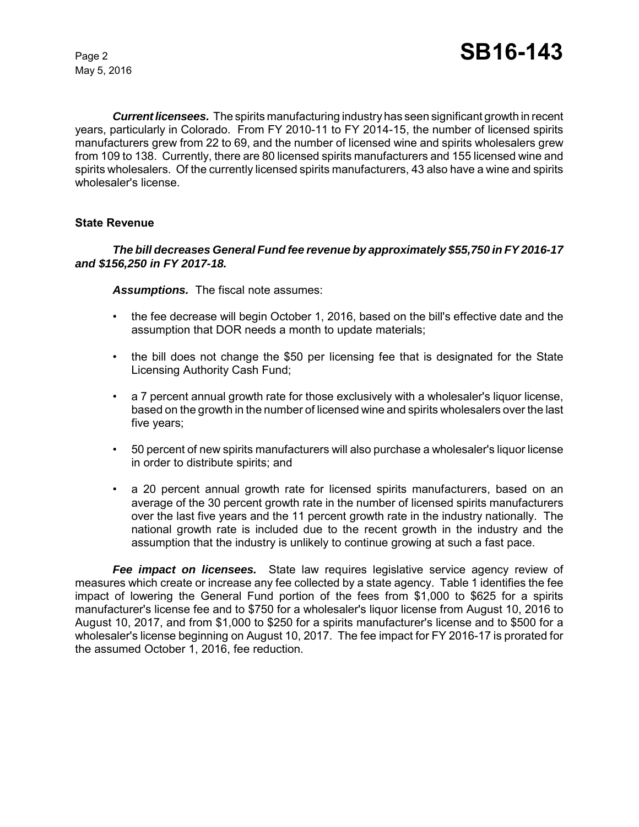May 5, 2016

*Current licensees.* The spirits manufacturing industry has seen significant growth in recent years, particularly in Colorado. From FY 2010-11 to FY 2014-15, the number of licensed spirits manufacturers grew from 22 to 69, and the number of licensed wine and spirits wholesalers grew from 109 to 138. Currently, there are 80 licensed spirits manufacturers and 155 licensed wine and spirits wholesalers. Of the currently licensed spirits manufacturers, 43 also have a wine and spirits wholesaler's license.

## **State Revenue**

## *The bill decreases General Fund fee revenue by approximately \$55,750 in FY 2016-17 and \$156,250 in FY 2017-18.*

*Assumptions.* The fiscal note assumes:

- the fee decrease will begin October 1, 2016, based on the bill's effective date and the assumption that DOR needs a month to update materials;
- the bill does not change the \$50 per licensing fee that is designated for the State Licensing Authority Cash Fund;
- a 7 percent annual growth rate for those exclusively with a wholesaler's liquor license, based on the growth in the number of licensed wine and spirits wholesalers over the last five years;
- 50 percent of new spirits manufacturers will also purchase a wholesaler's liquor license in order to distribute spirits; and
- a 20 percent annual growth rate for licensed spirits manufacturers, based on an average of the 30 percent growth rate in the number of licensed spirits manufacturers over the last five years and the 11 percent growth rate in the industry nationally. The national growth rate is included due to the recent growth in the industry and the assumption that the industry is unlikely to continue growing at such a fast pace.

*Fee impact on licensees.* State law requires legislative service agency review of measures which create or increase any fee collected by a state agency. Table 1 identifies the fee impact of lowering the General Fund portion of the fees from \$1,000 to \$625 for a spirits manufacturer's license fee and to \$750 for a wholesaler's liquor license from August 10, 2016 to August 10, 2017, and from \$1,000 to \$250 for a spirits manufacturer's license and to \$500 for a wholesaler's license beginning on August 10, 2017. The fee impact for FY 2016-17 is prorated for the assumed October 1, 2016, fee reduction.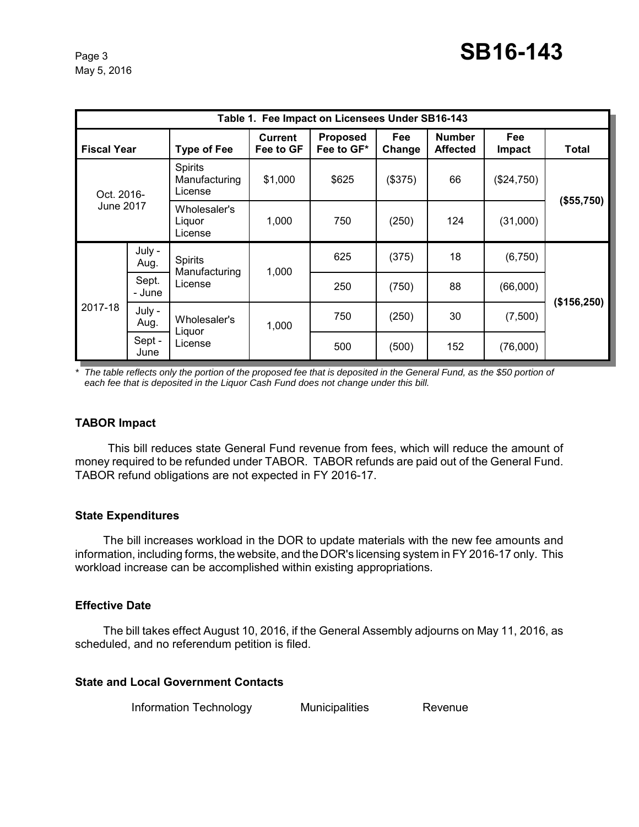| Table 1. Fee Impact on Licensees Under SB16-143 |                 |                                     |                             |                               |                      |                                  |                             |             |  |  |  |
|-------------------------------------------------|-----------------|-------------------------------------|-----------------------------|-------------------------------|----------------------|----------------------------------|-----------------------------|-------------|--|--|--|
| <b>Fiscal Year</b>                              |                 | <b>Type of Fee</b>                  | <b>Current</b><br>Fee to GF | <b>Proposed</b><br>Fee to GF* | <b>Fee</b><br>Change | <b>Number</b><br><b>Affected</b> | <b>Fee</b><br><b>Impact</b> | Total       |  |  |  |
| Oct. 2016-<br>June 2017                         |                 | Spirits<br>Manufacturing<br>License | \$1,000                     | \$625                         | (\$375)              | 66                               | (\$24,750)                  | (\$55,750)  |  |  |  |
|                                                 |                 | Wholesaler's<br>Liguor<br>License   | 1,000                       | 750                           | (250)                | 124                              | (31,000)                    |             |  |  |  |
| 2017-18                                         | July -<br>Aug.  | Spirits<br>Manufacturing<br>License | 1,000                       | 625                           | (375)                | 18                               | (6,750)                     | (\$156,250) |  |  |  |
|                                                 | Sept.<br>- June |                                     |                             | 250                           | (750)                | 88                               | (66,000)                    |             |  |  |  |
|                                                 | July -<br>Aug.  | Wholesaler's<br>Liguor<br>License   | 1,000                       | 750                           | (250)                | 30                               | (7,500)                     |             |  |  |  |
|                                                 | Sept -<br>June  |                                     |                             | 500                           | (500)                | 152                              | (76,000)                    |             |  |  |  |

*\* The table reflects only the portion of the proposed fee that is deposited in the General Fund, as the \$50 portion of each fee that is deposited in the Liquor Cash Fund does not change under this bill.* 

## **TABOR Impact**

This bill reduces state General Fund revenue from fees, which will reduce the amount of money required to be refunded under TABOR. TABOR refunds are paid out of the General Fund. TABOR refund obligations are not expected in FY 2016-17.

## **State Expenditures**

The bill increases workload in the DOR to update materials with the new fee amounts and information, including forms, the website, and the DOR's licensing system in FY 2016-17 only. This workload increase can be accomplished within existing appropriations.

## **Effective Date**

The bill takes effect August 10, 2016, if the General Assembly adjourns on May 11, 2016, as scheduled, and no referendum petition is filed.

## **State and Local Government Contacts**

Information Technology Municipalities Revenue